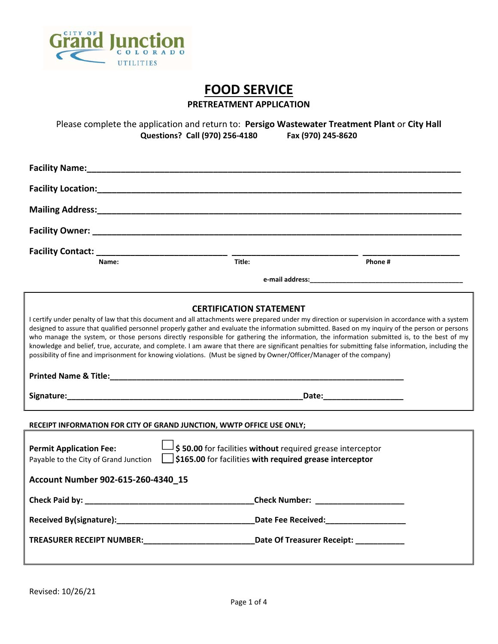

# **FOOD SERVICE**

**PRETREATMENT APPLICATION** 

Please complete the application and return to: **Persigo Wastewater Treatment Plant** or **City Hall**<br>**Questions? Call (970) 256-4180** Fax (970) 245-8620 **Questions? Call (970) 256-4180** 

| Facility Name: Manual Manual Manual Manual Manual Manual Manual Manual Manual Manual Manual Manual Manual Manu        |                                                                                                                        |                                                                                                                                                                                                                                                                                                                                                                                                                                                                                                                                                                                                             |
|-----------------------------------------------------------------------------------------------------------------------|------------------------------------------------------------------------------------------------------------------------|-------------------------------------------------------------------------------------------------------------------------------------------------------------------------------------------------------------------------------------------------------------------------------------------------------------------------------------------------------------------------------------------------------------------------------------------------------------------------------------------------------------------------------------------------------------------------------------------------------------|
| Facility Location: Management of the Carolina Control of the Carolina Control of the Carolina Control of the C        |                                                                                                                        |                                                                                                                                                                                                                                                                                                                                                                                                                                                                                                                                                                                                             |
|                                                                                                                       |                                                                                                                        |                                                                                                                                                                                                                                                                                                                                                                                                                                                                                                                                                                                                             |
|                                                                                                                       |                                                                                                                        |                                                                                                                                                                                                                                                                                                                                                                                                                                                                                                                                                                                                             |
|                                                                                                                       |                                                                                                                        |                                                                                                                                                                                                                                                                                                                                                                                                                                                                                                                                                                                                             |
| Name:                                                                                                                 | Title:                                                                                                                 | Phone#                                                                                                                                                                                                                                                                                                                                                                                                                                                                                                                                                                                                      |
|                                                                                                                       |                                                                                                                        |                                                                                                                                                                                                                                                                                                                                                                                                                                                                                                                                                                                                             |
| possibility of fine and imprisonment for knowing violations. (Must be signed by Owner/Officer/Manager of the company) | <b>CERTIFICATION STATEMENT</b>                                                                                         | I certify under penalty of law that this document and all attachments were prepared under my direction or supervision in accordance with a system<br>designed to assure that qualified personnel properly gather and evaluate the information submitted. Based on my inquiry of the person or persons<br>who manage the system, or those persons directly responsible for gathering the information, the information submitted is, to the best of my<br>knowledge and belief, true, accurate, and complete. I am aware that there are significant penalties for submitting false information, including the |
|                                                                                                                       |                                                                                                                        |                                                                                                                                                                                                                                                                                                                                                                                                                                                                                                                                                                                                             |
| RECEIPT INFORMATION FOR CITY OF GRAND JUNCTION, WWTP OFFICE USE ONLY;                                                 |                                                                                                                        |                                                                                                                                                                                                                                                                                                                                                                                                                                                                                                                                                                                                             |
| <b>Permit Application Fee:</b><br>Payable to the City of Grand Junction<br>Account Number 902-615-260-4340_15         | \$50.00 for facilities without required grease interceptor<br>\$165.00 for facilities with required grease interceptor |                                                                                                                                                                                                                                                                                                                                                                                                                                                                                                                                                                                                             |
|                                                                                                                       |                                                                                                                        |                                                                                                                                                                                                                                                                                                                                                                                                                                                                                                                                                                                                             |
|                                                                                                                       |                                                                                                                        | _Check Number: _______________________                                                                                                                                                                                                                                                                                                                                                                                                                                                                                                                                                                      |
|                                                                                                                       |                                                                                                                        |                                                                                                                                                                                                                                                                                                                                                                                                                                                                                                                                                                                                             |
| TREASURER RECEIPT NUMBER: Date Of Treasurer Receipt:                                                                  |                                                                                                                        |                                                                                                                                                                                                                                                                                                                                                                                                                                                                                                                                                                                                             |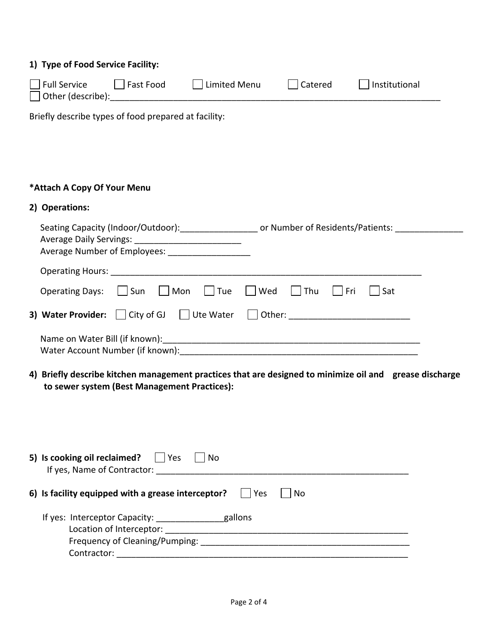### **1) Type of Food Service Facility:**

| Full Service         | Fast Food | Limited Menu | Catered | Institutional |  |
|----------------------|-----------|--------------|---------|---------------|--|
| ' │Other (describe): |           |              |         |               |  |

Briefly describe types of food prepared at facility:

# **\*Attach A Copy Of Your Menu**

# **2) Operations:**

|                                                              | Seating Capacity (Indoor/Outdoor): contract to Number of Residents/Patients: |
|--------------------------------------------------------------|------------------------------------------------------------------------------|
| <b>Operating Hours:</b>                                      |                                                                              |
| <b>Operating Days:</b><br>   Mon<br>Tue<br>Sun               | ∣ Wed<br>Thu<br>l Fri<br>Sat                                                 |
| <b>3) Water Provider:</b> $\Box$ City of GJ $\Box$ Ute Water |                                                                              |
| Water Account Number (if known):                             |                                                                              |

**4) Briefly describe kitchen management practices that are designed to minimize oil and grease discharge to sewer system (Best Management Practices):** 

| 5) Is cooking oil reclaimed?<br> Yes<br>No<br>If yes, Name of Contractor:                                             |      |
|-----------------------------------------------------------------------------------------------------------------------|------|
| Yes<br>6) Is facility equipped with a grease interceptor?                                                             | l No |
| If yes: Interceptor Capacity:<br>gallons<br>Location of Interceptor:<br>Frequency of Cleaning/Pumping:<br>Contractor: |      |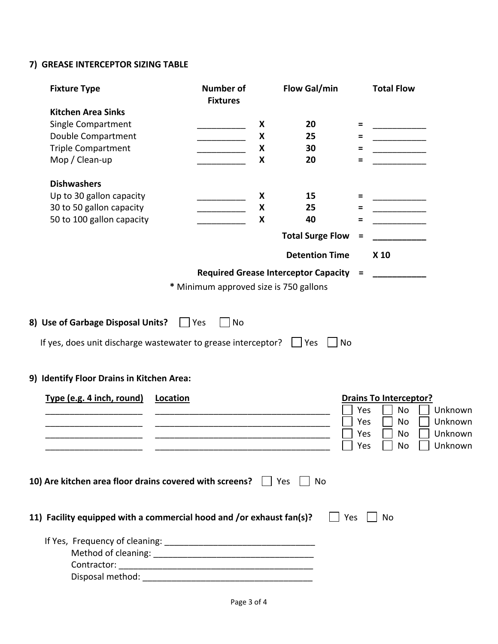# **7) GREASE INTERCEPTOR SIZING TABLE**

| <b>Fixture Type</b>                                                                                        | <b>Number of</b>                                                                                                      | <b>Flow Gal/min</b>                    |            | <b>Total Flow</b>             |                |
|------------------------------------------------------------------------------------------------------------|-----------------------------------------------------------------------------------------------------------------------|----------------------------------------|------------|-------------------------------|----------------|
|                                                                                                            | <b>Fixtures</b>                                                                                                       |                                        |            |                               |                |
| <b>Kitchen Area Sinks</b>                                                                                  |                                                                                                                       |                                        |            |                               |                |
| Single Compartment                                                                                         | X                                                                                                                     | 20                                     | $=$        |                               |                |
| Double Compartment                                                                                         | X                                                                                                                     | 25                                     | Ξ          |                               |                |
| <b>Triple Compartment</b>                                                                                  | X                                                                                                                     | 30                                     | $=$        |                               |                |
| Mop / Clean-up                                                                                             | X                                                                                                                     | 20                                     | Ξ          |                               |                |
| <b>Dishwashers</b>                                                                                         |                                                                                                                       |                                        |            |                               |                |
| Up to 30 gallon capacity                                                                                   | X                                                                                                                     | 15                                     | $=$        |                               |                |
| 30 to 50 gallon capacity                                                                                   | X                                                                                                                     | 25                                     | Ξ          |                               |                |
| 50 to 100 gallon capacity                                                                                  | X                                                                                                                     | 40                                     | Ξ          |                               |                |
|                                                                                                            |                                                                                                                       | <b>Total Surge Flow</b>                | =          |                               |                |
|                                                                                                            |                                                                                                                       | <b>Detention Time</b>                  |            | X 10                          |                |
|                                                                                                            |                                                                                                                       | Required Grease Interceptor Capacity = |            |                               |                |
|                                                                                                            | * Minimum approved size is 750 gallons                                                                                |                                        |            |                               |                |
| If yes, does unit discharge wastewater to grease interceptor?<br>9) Identify Floor Drains in Kitchen Area: |                                                                                                                       |                                        |            |                               |                |
| Type (e.g. 4 inch, round)<br>Location                                                                      |                                                                                                                       |                                        |            | <b>Drains To Interceptor?</b> |                |
|                                                                                                            |                                                                                                                       |                                        | Yes        | No                            | Unknown        |
|                                                                                                            |                                                                                                                       |                                        | Yes        | No                            | Unknown        |
|                                                                                                            | <u> 1980 - Johann John Stein, mars ar yw i brenin y cyfeiriad y cyfeiriad y cyfeiriad y cyfeiriad y cyfeiriad y c</u> |                                        | Yes        | No                            | Unknown        |
|                                                                                                            |                                                                                                                       |                                        | $\Box$ Yes |                               | □ No □ Unknown |
| 10) Are kitchen area floor drains covered with screens? $\Box$ Yes $\Box$ No                               |                                                                                                                       |                                        |            |                               |                |
|                                                                                                            |                                                                                                                       |                                        |            |                               |                |
| 11) Facility equipped with a commercial hood and /or exhaust fan(s)?                                       |                                                                                                                       | $\Box$ Yes                             |            | No                            |                |
|                                                                                                            |                                                                                                                       |                                        |            |                               |                |
|                                                                                                            |                                                                                                                       |                                        |            |                               |                |
|                                                                                                            |                                                                                                                       |                                        |            |                               |                |
|                                                                                                            |                                                                                                                       |                                        |            |                               |                |
|                                                                                                            |                                                                                                                       |                                        |            |                               |                |